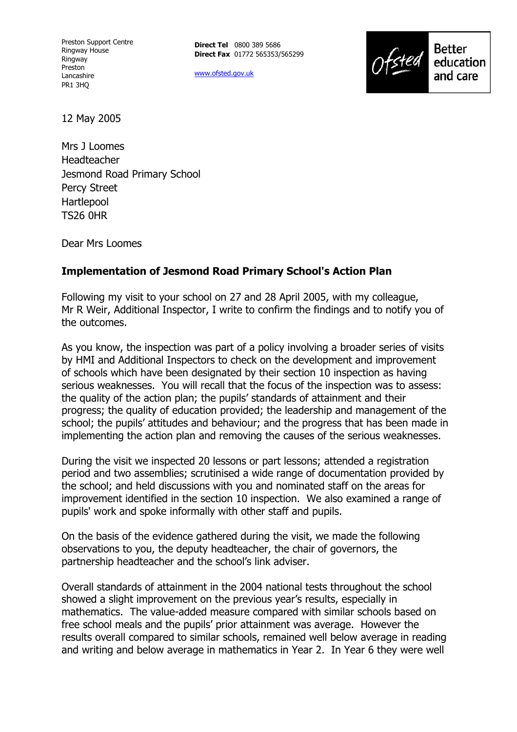Preston Support Centre Ringway House Ringway Preston Lancashire PR1 3HQ

**Direct Tel** 0800 389 5686 **Direct Fax** 01772 565353/565299

www.ofsted.gov.uk



12 May 2005

Mrs J Loomes Headteacher Jesmond Road Primary School Percy Street Hartlepool TS26 0HR

Dear Mrs Loomes

#### **Implementation of Jesmond Road Primary School's Action Plan**

Following my visit to your school on 27 and 28 April 2005, with my colleague, Mr R Weir, Additional Inspector, I write to confirm the findings and to notify you of the outcomes.

As you know, the inspection was part of a policy involving a broader series of visits by HMI and Additional Inspectors to check on the development and improvement of schools which have been designated by their section 10 inspection as having serious weaknesses. You will recall that the focus of the inspection was to assess: the quality of the action plan; the pupils' standards of attainment and their progress; the quality of education provided; the leadership and management of the school; the pupils' attitudes and behaviour; and the progress that has been made in implementing the action plan and removing the causes of the serious weaknesses.

During the visit we inspected 20 lessons or part lessons; attended a registration period and two assemblies; scrutinised a wide range of documentation provided by the school; and held discussions with you and nominated staff on the areas for improvement identified in the section 10 inspection. We also examined a range of pupils' work and spoke informally with other staff and pupils.

On the basis of the evidence gathered during the visit, we made the following observations to you, the deputy headteacher, the chair of governors, the partnership headteacher and the school's link adviser.

Overall standards of attainment in the 2004 national tests throughout the school showed a slight improvement on the previous year's results, especially in mathematics. The value-added measure compared with similar schools based on free school meals and the pupils' prior attainment was average. However the results overall compared to similar schools, remained well below average in reading and writing and below average in mathematics in Year 2. In Year 6 they were well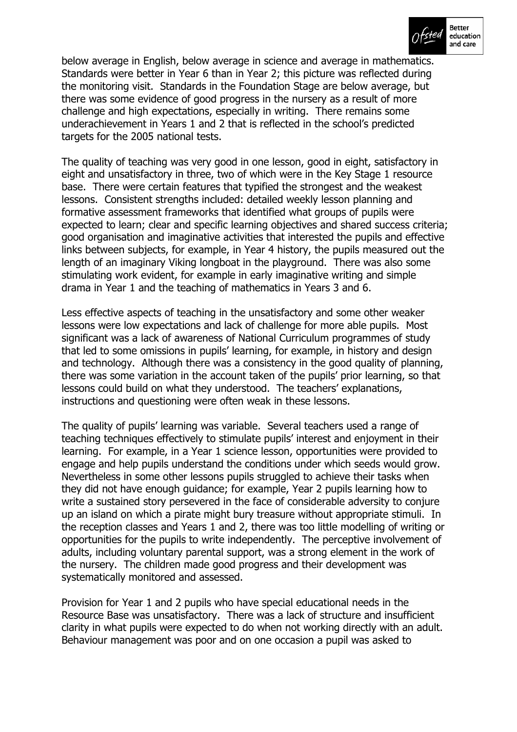

below average in English, below average in science and average in mathematics. Standards were better in Year 6 than in Year 2; this picture was reflected during the monitoring visit. Standards in the Foundation Stage are below average, but there was some evidence of good progress in the nursery as a result of more challenge and high expectations, especially in writing. There remains some underachievement in Years 1 and 2 that is reflected in the schoolís predicted targets for the 2005 national tests.

The quality of teaching was very good in one lesson, good in eight, satisfactory in eight and unsatisfactory in three, two of which were in the Key Stage 1 resource base. There were certain features that typified the strongest and the weakest lessons. Consistent strengths included: detailed weekly lesson planning and formative assessment frameworks that identified what groups of pupils were expected to learn; clear and specific learning objectives and shared success criteria; good organisation and imaginative activities that interested the pupils and effective links between subjects, for example, in Year 4 history, the pupils measured out the length of an imaginary Viking longboat in the playground. There was also some stimulating work evident, for example in early imaginative writing and simple drama in Year 1 and the teaching of mathematics in Years 3 and 6.

Less effective aspects of teaching in the unsatisfactory and some other weaker lessons were low expectations and lack of challenge for more able pupils. Most significant was a lack of awareness of National Curriculum programmes of study that led to some omissions in pupils' learning, for example, in history and design and technology. Although there was a consistency in the good quality of planning, there was some variation in the account taken of the pupils' prior learning, so that lessons could build on what they understood. The teachers' explanations, instructions and questioning were often weak in these lessons.

The quality of pupilsí learning was variable. Several teachers used a range of teaching techniques effectively to stimulate pupils' interest and enjoyment in their learning. For example, in a Year 1 science lesson, opportunities were provided to engage and help pupils understand the conditions under which seeds would grow. Nevertheless in some other lessons pupils struggled to achieve their tasks when they did not have enough guidance; for example, Year 2 pupils learning how to write a sustained story persevered in the face of considerable adversity to conjure up an island on which a pirate might bury treasure without appropriate stimuli. In the reception classes and Years 1 and 2, there was too little modelling of writing or opportunities for the pupils to write independently. The perceptive involvement of adults, including voluntary parental support, was a strong element in the work of the nursery. The children made good progress and their development was systematically monitored and assessed.

Provision for Year 1 and 2 pupils who have special educational needs in the Resource Base was unsatisfactory. There was a lack of structure and insufficient clarity in what pupils were expected to do when not working directly with an adult. Behaviour management was poor and on one occasion a pupil was asked to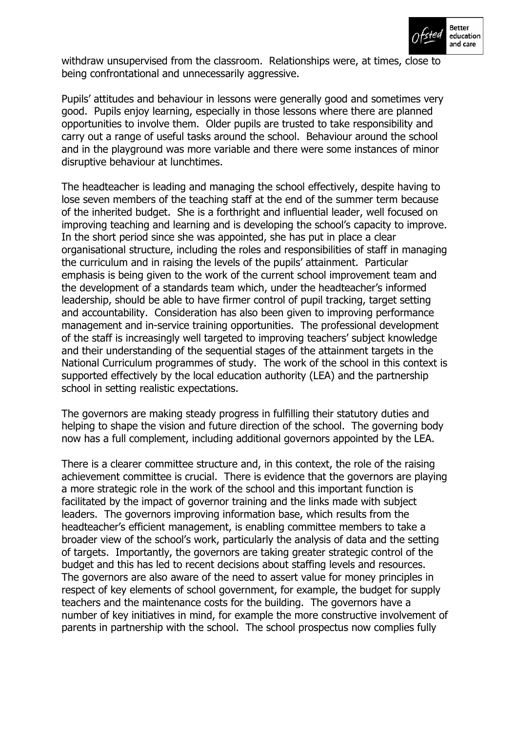

withdraw unsupervised from the classroom. Relationships were, at times, close to being confrontational and unnecessarily aggressive.

Pupils' attitudes and behaviour in lessons were generally good and sometimes very good. Pupils enjoy learning, especially in those lessons where there are planned opportunities to involve them. Older pupils are trusted to take responsibility and carry out a range of useful tasks around the school. Behaviour around the school and in the playground was more variable and there were some instances of minor disruptive behaviour at lunchtimes.

The headteacher is leading and managing the school effectively, despite having to lose seven members of the teaching staff at the end of the summer term because of the inherited budget. She is a forthright and influential leader, well focused on improving teaching and learning and is developing the school's capacity to improve. In the short period since she was appointed, she has put in place a clear organisational structure, including the roles and responsibilities of staff in managing the curriculum and in raising the levels of the pupils' attainment. Particular emphasis is being given to the work of the current school improvement team and the development of a standards team which, under the headteacher's informed leadership, should be able to have firmer control of pupil tracking, target setting and accountability. Consideration has also been given to improving performance management and in-service training opportunities. The professional development of the staff is increasingly well targeted to improving teachers' subject knowledge and their understanding of the sequential stages of the attainment targets in the National Curriculum programmes of study. The work of the school in this context is supported effectively by the local education authority (LEA) and the partnership school in setting realistic expectations.

The governors are making steady progress in fulfilling their statutory duties and helping to shape the vision and future direction of the school. The governing body now has a full complement, including additional governors appointed by the LEA.

There is a clearer committee structure and, in this context, the role of the raising achievement committee is crucial. There is evidence that the governors are playing a more strategic role in the work of the school and this important function is facilitated by the impact of governor training and the links made with subject leaders. The governors improving information base, which results from the headteacher's efficient management, is enabling committee members to take a broader view of the schoolís work, particularly the analysis of data and the setting of targets. Importantly, the governors are taking greater strategic control of the budget and this has led to recent decisions about staffing levels and resources. The governors are also aware of the need to assert value for money principles in respect of key elements of school government, for example, the budget for supply teachers and the maintenance costs for the building. The governors have a number of key initiatives in mind, for example the more constructive involvement of parents in partnership with the school. The school prospectus now complies fully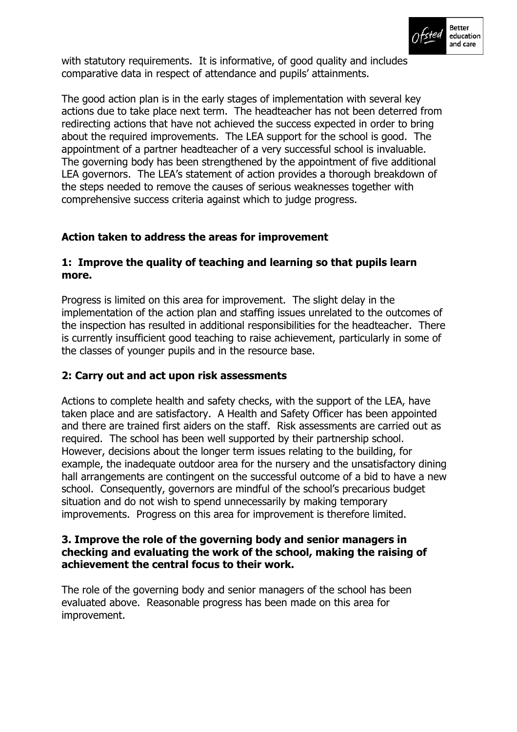

with statutory requirements. It is informative, of good quality and includes comparative data in respect of attendance and pupils' attainments.

The good action plan is in the early stages of implementation with several key actions due to take place next term. The headteacher has not been deterred from redirecting actions that have not achieved the success expected in order to bring about the required improvements. The LEA support for the school is good. The appointment of a partner headteacher of a very successful school is invaluable. The governing body has been strengthened by the appointment of five additional LEA governors. The LEA's statement of action provides a thorough breakdown of the steps needed to remove the causes of serious weaknesses together with comprehensive success criteria against which to judge progress.

### **Action taken to address the areas for improvement**

# **1: Improve the quality of teaching and learning so that pupils learn more.**

Progress is limited on this area for improvement. The slight delay in the implementation of the action plan and staffing issues unrelated to the outcomes of the inspection has resulted in additional responsibilities for the headteacher. There is currently insufficient good teaching to raise achievement, particularly in some of the classes of younger pupils and in the resource base.

### **2: Carry out and act upon risk assessments**

Actions to complete health and safety checks, with the support of the LEA, have taken place and are satisfactory. A Health and Safety Officer has been appointed and there are trained first aiders on the staff. Risk assessments are carried out as required. The school has been well supported by their partnership school. However, decisions about the longer term issues relating to the building, for example, the inadequate outdoor area for the nursery and the unsatisfactory dining hall arrangements are contingent on the successful outcome of a bid to have a new school. Consequently, governors are mindful of the school's precarious budget situation and do not wish to spend unnecessarily by making temporary improvements. Progress on this area for improvement is therefore limited.

#### **3. Improve the role of the governing body and senior managers in checking and evaluating the work of the school, making the raising of achievement the central focus to their work.**

The role of the governing body and senior managers of the school has been evaluated above. Reasonable progress has been made on this area for improvement.